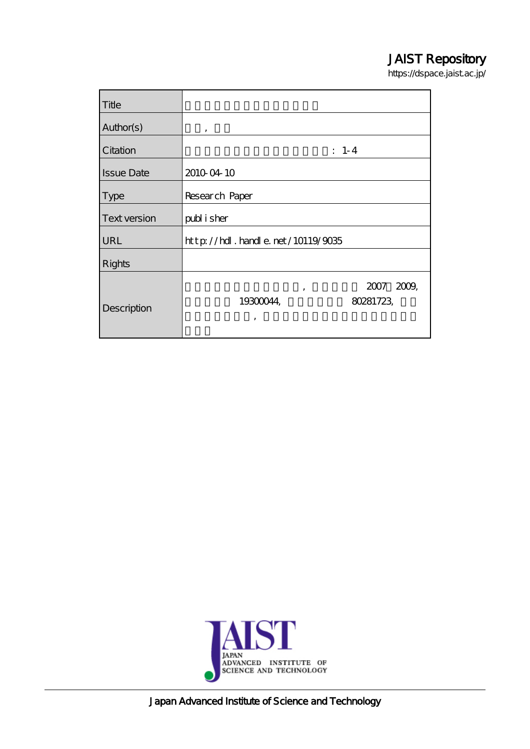## JAIST Repository

https://dspace.jaist.ac.jp/

| Title             |                                          |  |  |  |
|-------------------|------------------------------------------|--|--|--|
| Author(s)         | ,                                        |  |  |  |
| Citation          | $: 1-4$                                  |  |  |  |
| <b>Issue Date</b> | 2010 04 10                               |  |  |  |
| <b>Type</b>       | Research Paper                           |  |  |  |
| Text version      | publisher                                |  |  |  |
| URL               | $http$ // $hdl$ . handle. net/10119/9035 |  |  |  |
| <b>Rights</b>     |                                          |  |  |  |
|                   | 2007 2009<br>,<br>80281723<br>19300044   |  |  |  |
| Description       | ,                                        |  |  |  |



Japan Advanced Institute of Science and Technology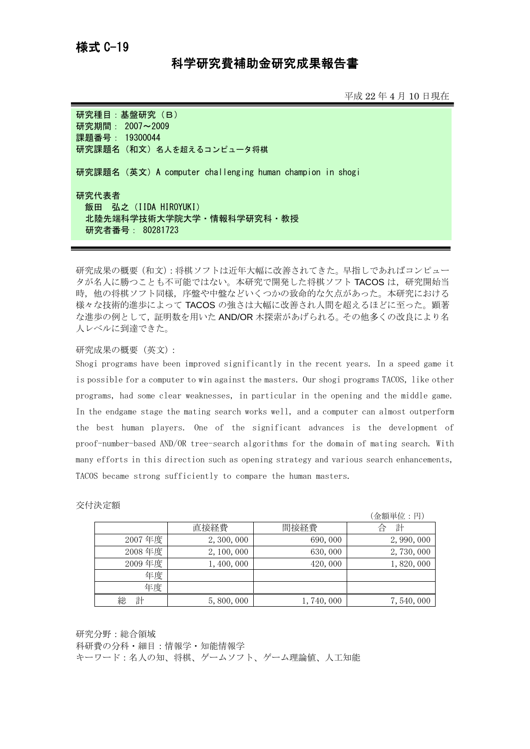## 様式 C-19

## 科学研究費補助金研究成果報告書

平成 22 年 4 月 10 日現在

研究種目: 基盤研究 (B) 研究期間: 2007~2009 課題番号: 19300044 研究課題名(和文)名人を超えるコンピュータ将棋

研究課題名(英文)A computer challenging human champion in shogi

研究代表者

**飯田 弘之 (IIDA HIROYUKI)** 北陸先端科学技術大学院大学・情報科学研究科・教授 研究者番号: 80281723

研究成果の概要(和文):将棋ソフトは近年大幅に改善されてきた。早指しであればコンピュー タが名人に勝つことも不可能ではない。本研究で開発した将棋ソフト TACOS は、研究開始当 時,他の将棋ソフト同様,序盤や中盤などいくつかの致命的な欠点があった。本研究における 様々な技術的進歩によって TACOS の強さは大幅に改善され人間を超えるほどに至った。顕著 な進歩の例として,証明数を用いた AND/OR 木探索があげられる。その他多くの改良により名 人レベルに到達できた。

## 研究成果の概要(英文):

Shogi programs have been improved significantly in the recent years. In a speed game it is possible for a computer to win against the masters. Our shogi programs TACOS, like other programs, had some clear weaknesses, in particular in the opening and the middle game. In the endgame stage the mating search works well, and a computer can almost outperform the best human players. One of the significant advances is the development of proof-number-based AND/OR tree-search algorithms for the domain of mating search. With many efforts in this direction such as opening strategy and various search enhancements, TACOS became strong sufficiently to compare the human masters.

|        |             |           | (金額単位:円)    |
|--------|-------------|-----------|-------------|
|        | 直接経費        | 間接経費      | 計<br>合      |
| 2007年度 | 2, 300, 000 | 690,000   | 2, 990, 000 |
| 2008年度 | 2, 100, 000 | 630,000   | 2,730,000   |
| 2009年度 | 1,400,000   | 420,000   | 1,820,000   |
| 年度     |             |           |             |
| 年度     |             |           |             |
| 計<br>総 | 5,800,000   | 1,740,000 | 7,540,000   |

交付決定額

研究分野:総合領域

科研費の分科・細目:情報学・知能情報学

キーワード:名人の知、将棋、ゲームソフト、ゲーム理論値、人工知能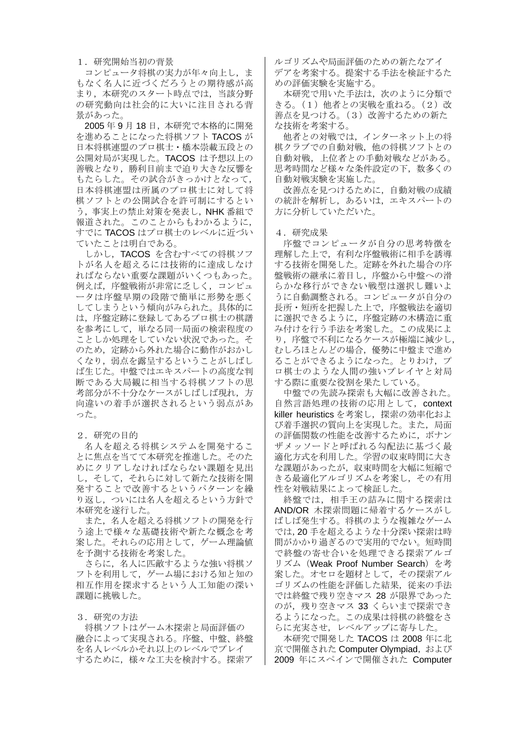1.研究開始当初の背景

コンピュータ将棋の実力が年々向上し,ま もなく名人に近づくだろうとの期待感が高 まり,本研究のスタート時点では,当該分野 の研究動向は社会的に大いに注目される背 景があった。

2005 年 9 月 18 日,本研究で本格的に開発 を進めることになった将棋ソフト TACOS が 日本将棋連盟のプロ棋士・橋本崇載五段との 公開対局が実現した。TACOS は予想以上の 善戦となり,勝利目前まで迫り大きな反響を もたらした。その試合がきっかけとなって, 日本将棋連盟は所属のプロ棋士に対して将 棋ソフトとの公開試合を許可制にするとい う、事実上の禁止対策を発表し、NHK 番組で 報道された。このことからもわかるように, すでに TACOS はプロ棋士のレベルに近づい ていたことは明白である。

しかし,TACOS を含むすべての将棋ソフ トが名人を超えるには技術的に達成しなけ ればならない重要な課題がいくつもあった。 例えば,序盤戦術が非常に乏しく,コンピュ ータは序盤早期の段階で簡単に形勢を悪く してしまうという傾向がみられた。具体的に は,序盤定跡に登録してあるプロ棋士の棋譜 を参考にして,単なる同一局面の検索程度の ことしか処理をしていない状況であった。そ のため,定跡から外れた場合に動作がおかし くなり、弱点を露呈するということがしばし ば生じた。中盤ではエキスパートの高度な判 断である大局観に相当する将棋ソフトの思 考部分が不十分なケースがしばしば現れ、方 向違いの着手が選択されるという弱点があ った。

2.研究の目的

名人を超える将棋システムを開発するこ とに焦点を当てて本研究を推進した。そのた めにクリアしなければならない課題を見出 し,そして,それらに対して新たな技術を開 発することで改善するというパターンを繰 り返し,ついには名人を超えるという方針で 本研究を遂行した。

また,名人を超える将棋ソフトの開発を行 う涂上で様々な基礎技術や新たな概念を考 案した。それらの応用として,ゲーム理論値 を予測する技術を考案した。

さらに,名人に匹敵するような強い将棋ソ フトを利用して,ゲーム場における知と知の 相互作用を探求するという人工知能の深い 課題に挑戦した。

3.研究の方法

将棋ソフトはゲーム木探索と局面評価の 融合によって実現される。序盤、中盤、終盤 を名人レベルかそれ以上のレベルでプレイ するために,様々な工夫を検討する。探索ア

ルゴリズムや局面評価のための新たなアイ デアを考案する。提案する手法を検証するた めの評価実験を実施する。

本研究で用いた手法は、次のように分類で きる。(1)他者との実戦を重ねる。(2)改 善点を見つける。(3)改善するための新た な技術を考案する。

他者との対戦では,インターネット上の将 棋クラブでの自動対戦,他の将棋ソフトとの 自動対戦,上位者との手動対戦などがある。 思考時間など様々な条件設定の下,数多くの 自動対戦実験を実施した。

改善点を見つけるために,自動対戦の成績 の統計を解析し、あるいは、エキスパートの 方に分析していただいた。

4.研究成果

序盤でコンピュータが自分の思考特徴を 理解した上で,有利な序盤戦術に相手を誘導 する技術を開発した。定跡を外れた場合の序 盤戦術の継承に着目し,序盤から中盤への滑 らかな移行ができない戦型は選択し難いよ うに自動調整される。コンピュータが自分の 長所・短所を把握した上で,序盤戦法を適切 に選択できるように,序盤定跡の木構造に重 み付けを行う手法を考案した。この成果によ り,序盤で不利になるケースが極端に減少し, むしろほとんどの場合,優勢に中盤まで進め ることができるようになった。とりわけ、プ ロ棋士のような人間の強いプレイヤと対局 する際に重要な役割を果たしている。

中盤での先読み探索も大幅に改善された。 自然言語処理の技術の応用として、context killer heuristics を考案し、探索の効率化およ び着手選択の質向上を実現した。また,局面 の評価関数の性能を改善するために,ボナン ザメッソードと呼ばれる勾配法に基づく最 適化方式を利用した。学習の収束時間に大き な課題があったが,収束時間を大幅に短縮で きる最適化アルゴリズムを考案し,その有用 性を対戦結果によって検証した。

終盤では,相手王の詰みに関する探索は AND/OR 木探索問題に帰着するケースがし ばしば発生する。将棋のような複雑なゲーム では,20 手を超えるような十分深い探索は時 間がかかり過ぎるので実用的でない。短時間 で終盤の寄せ合いを処理できる探索アルゴ リズム (Weak Proof Number Search) を考 案した。オセロを題材として,その探索アル ゴリズムの性能を評価した結果,従来の手法 では終盤で残り空きマス 28 が限界であった のが、残り空きマス 33 くらいまで探索でき るようになった。この成果は将棋の終盤をさ らに充実させ,レベルアップに寄与した。

本研究で開発した TACOS は 2008 年に北 京で開催された Computer Olympiad, および 2009 年にスペインで開催された Computer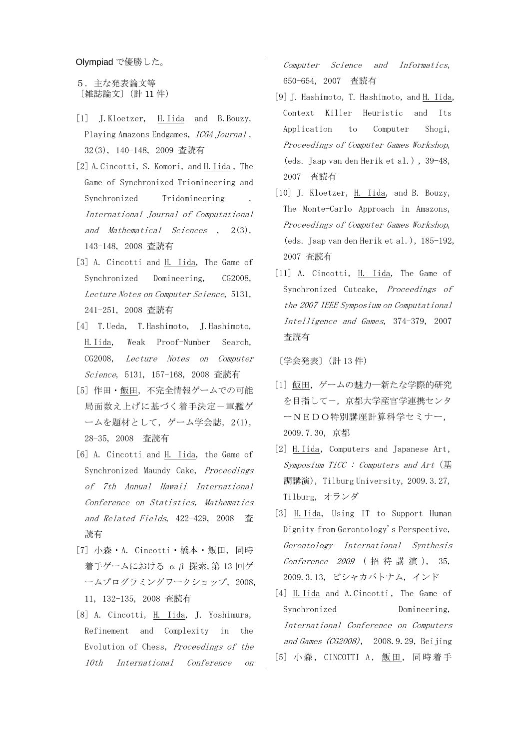Olympiad で優勝した。

5.主な発表論文等 〔雑誌論文〕(計 11 件)

- [1] J.Kloetzer, H.Iida and B.Bouzy, Playing Amazons Endgames, ICGA Journal , 32(3), 140-148, 2009 査読有
- [2] A.Cincotti, S. Komori, and H.Iida , The Game of Synchronized Triomineering and Synchronized Tridomineering International Journal of Computational and Mathematical Sciences , 2(3), 143-148, 2008 査読有
- [3] A. Cincotti and H. Iida, The Game of Synchronized Domineering, CG2008, Lecture Notes on Computer Science, 5131, 241-251, 2008 査読有
- [4] T.Ueda, T.Hashimoto, J.Hashimoto, H.Iida, Weak Proof-Number Search, CG2008, Lecture Notes on Computer Science, 5131, 157-168, 2008 査読有
- [5] 作田・飯田,不完全情報ゲームでの可能 局面数え上げに基づく着手決定一軍艦ゲ ームを題材として,ゲーム学会誌, 2(1), 28-35, 2008 査読有
- [6] A. Cincotti and H. Iida, the Game of Synchronized Maundy Cake, Proceedings of 7th Annual Hawaii International Conference on Statistics, Mathematics and Related Fields, 422-429, 2008 査 読有
- [7] 小森・A. Cincotti・橋本・飯田, 同時 着手ゲームにおける αβ 探索,第 13 回ゲ ームプログラミングワークショップ, 2008, 11, 132-135, 2008 査読有
- [8] A. Cincotti, H. Iida, J. Yoshimura, Refinement and Complexity in the Evolution of Chess, Proceedings of the 10th International Conference on

Computer Science and Informatics, 650-654, 2007 査読有

- [9] J. Hashimoto, T. Hashimoto, and H. Iida, Context Killer Heuristic and Its Application to Computer Shogi, Proceedings of Computer Games Workshop, (eds. Jaap van den Herik et al.) , 39-48, 2007 査読有
- [10] J. Kloetzer, H. Iida, and B. Bouzy, The Monte-Carlo Approach in Amazons, Proceedings of Computer Games Workshop, (eds. Jaap van den Herik et al.), 185-192, 2007 査読有
- [11] A. Cincotti, H. Iida, The Game of Synchronized Cutcake, Proceedings of the 2007 IEEE Symposium on Computational Intelligence and Games, 374-379, 2007 査読有

〔学会発表〕(計 13 件)

- [1] 飯田,ゲームの魅力―新たな学際的研究 を目指して-,京都大学産官学連携センタ ーNEDO特別講座計算科学セミナー, 2009.7.30,京都
- [2] H. Iida, Computers and Japanese Art, Symposium TiCC : Computers and Art (基 調講演),Tilburg University, 2009.3.27, Tilburg, オランダ
- [3] H.Iida, Using IT to Support Human Dignity from Gerontology's Perspective, Gerontology International Synthesis Conference 2009 (招待講演), 35, 2009.3.13, ビシャカパトナム, インド
- [4] H. Iida and A. Cincotti, The Game of Synchronized Domineering, International Conference on Computers and Games (CG2008), 2008.9.29, Beijing [5] 小森, CINCOTTI A,飯田, 同時着手